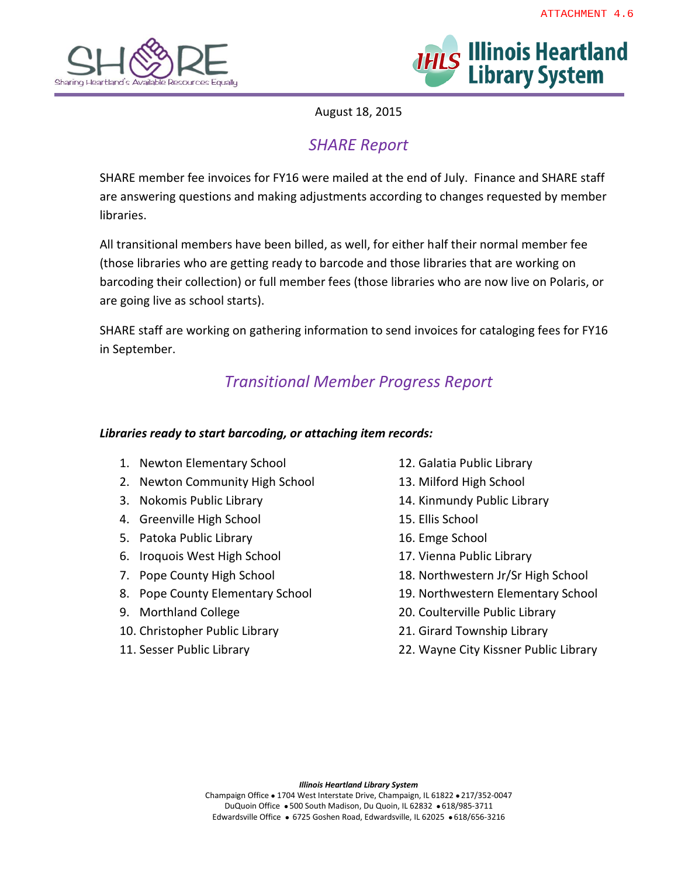



August 18, 2015

# *SHARE Report*

SHARE member fee invoices for FY16 were mailed at the end of July. Finance and SHARE staff are answering questions and making adjustments according to changes requested by member libraries.

All transitional members have been billed, as well, for either half their normal member fee (those libraries who are getting ready to barcode and those libraries that are working on barcoding their collection) or full member fees (those libraries who are now live on Polaris, or are going live as school starts).

SHARE staff are working on gathering information to send invoices for cataloging fees for FY16 in September.

# *Transitional Member Progress Report*

# *Libraries ready to start barcoding, or attaching item records:*

- 1. Newton Elementary School
- 2. Newton Community High School
- 3. Nokomis Public Library
- 4. Greenville High School
- 5. Patoka Public Library
- 6. Iroquois West High School
- 7. Pope County High School
- 8. Pope County Elementary School
- 9. Morthland College
- 10. Christopher Public Library
- 11. Sesser Public Library
- 12. Galatia Public Library
- 13. Milford High School
- 14. Kinmundy Public Library
- 15. Ellis School
- 16. Emge School
- 17. Vienna Public Library
- 18. Northwestern Jr/Sr High School
- 19. Northwestern Elementary School
- 20. Coulterville Public Library
- 21. Girard Township Library
- 22. Wayne City Kissner Public Library

*Illinois Heartland Library System*